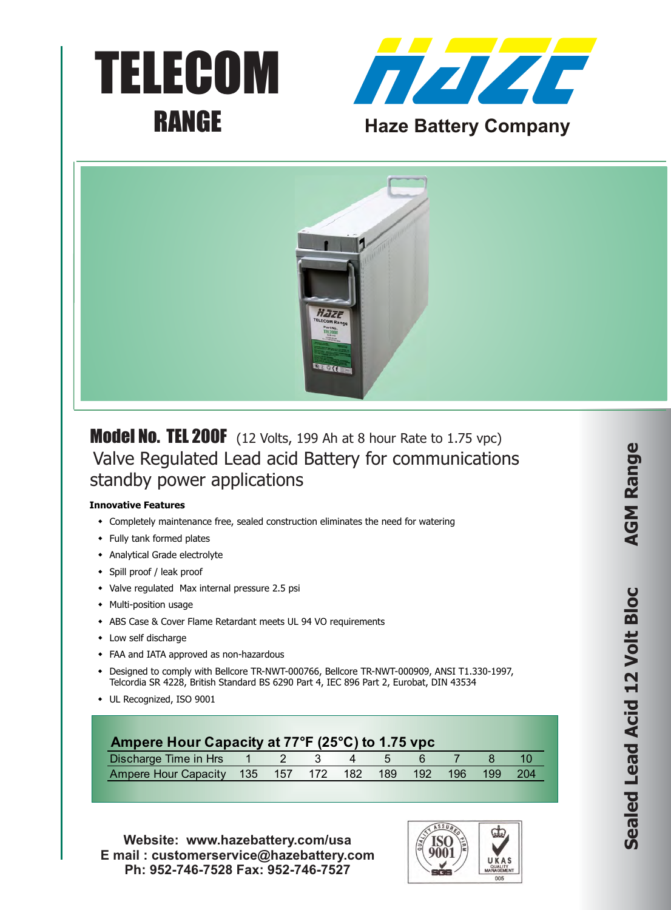





Model No. TEL 200F (12 Volts, 199 Ah at 8 hour Rate to 1.75 vpc) Valve Regulated Lead acid Battery for communications standby power applications

## **Innovative Features**

- Completely maintenance free, sealed construction eliminates the need for watering
- Fully tank formed plates
- Analytical Grade electrolyte
- Spill proof / leak proof
- Valve regulated Max internal pressure 2.5 psi
- Multi-position usage
- \* ABS Case & Cover Flame Retardant meets UL 94 VO requirements
- $\bullet$  Low self discharge
- FAA and IATA approved as non-hazardous
- \* Designed to comply with Bellcore TR-NWT-000766, Bellcore TR-NWT-000909, ANSI T1.330-1997, Telcordia SR 4228, British Standard BS 6290 Part 4, IEC 896 Part 2, Eurobat, DIN 43534
- UL Recognized, ISO 9001

| Ampere Hour Capacity at 77°F (25°C) to 1.75 vpc  |  |  |  |     |     |
|--------------------------------------------------|--|--|--|-----|-----|
| Discharge Time in Hrs 1 2 3 4 5 6                |  |  |  |     |     |
| Ampere Hour Capacity 135 157 172 182 189 192 196 |  |  |  | 199 | 204 |

**Website: www.hazebattery.com/usa E mail : customerservice@hazebattery.com Ph: 952-746-7528 Fax: 952-746-7527**